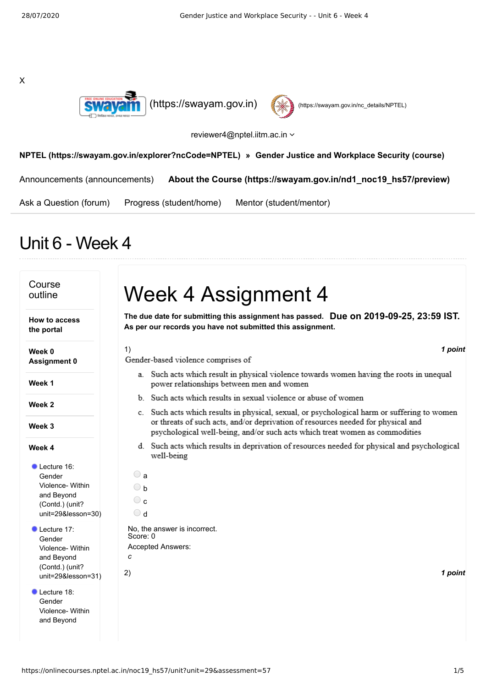



## reviewer4@nptel.iitm.ac.in  $\sim$

## **[NPTEL \(https://swayam.gov.in/explorer?ncCode=NPTEL\)](https://swayam.gov.in/explorer?ncCode=NPTEL) » [Gender Justice and Workplace Security \(course\)](https://onlinecourses.nptel.ac.in/noc19_hs57/course)**

[Announcements \(announcements\)](https://onlinecourses.nptel.ac.in/noc19_hs57/announcements) **[About the Course \(https://swayam.gov.in/nd1\\_noc19\\_hs57/preview\)](https://swayam.gov.in/nd1_noc19_hs57/preview)**

[Ask a Question \(forum\)](https://onlinecourses.nptel.ac.in/noc19_hs57/forum) [Progress \(student/home\)](https://onlinecourses.nptel.ac.in/noc19_hs57/student/home) [Mentor \(student/mentor\)](https://onlinecourses.nptel.ac.in/noc19_hs57/student/mentor)

# Unit 6 - Week 4

### Course Week 4 Assignment 4 outline **Due on 2019-09-25, 23:59 IST. The due date for submitting this assignment has passed. How to access As per our records you have not submitted this assignment. the portal Week 0** 1) *1 point* Gender-based violence comprises of **Assignment 0** a. Such acts which result in physical violence towards women having the roots in unequal **Week 1** power relationships between men and women b. Such acts which results in sexual violence or abuse of women **Week 2** c. Such acts which results in physical, sexual, or psychological harm or suffering to women or threats of such acts, and/or deprivation of resources needed for physical and **Week 3** psychological well-being, and/or such acts which treat women as commodities d. Such acts which results in deprivation of resources needed for physical and psychological **Week 4** well-being Lecture 16:  $\bigcirc$  a Gender Violence- Within ○ <sub>b</sub> and Beyond  $\circ$ (Contd.) (unit? [unit=29&lesson=30\)](https://onlinecourses.nptel.ac.in/noc19_hs57/unit?unit=29&lesson=30)  $\bigcirc$  d Lecture 17: No, the answer is incorrect. Score: 0 Gender Violence- Within Accepted Answers: *c*and Beyond (Contd.) (unit? 2) *1 point* [unit=29&lesson=31\)](https://onlinecourses.nptel.ac.in/noc19_hs57/unit?unit=29&lesson=31) Lecture 18: Gender [Violence-](https://onlinecourses.nptel.ac.in/noc19_hs57/unit?unit=29&lesson=32) Within and Beyond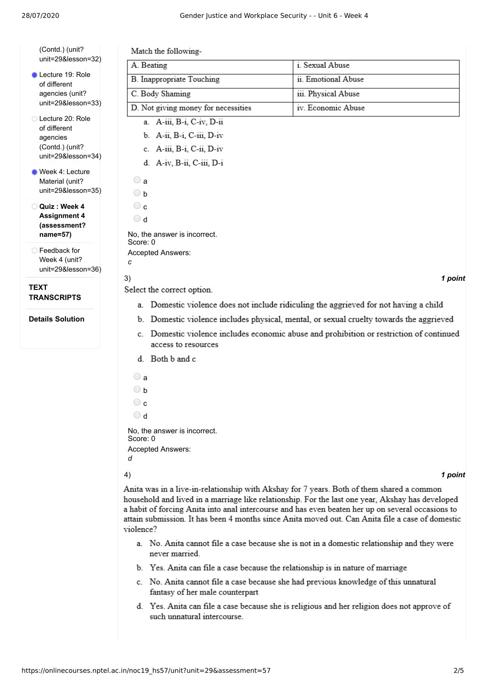| unit=29&lesson=32)              |
|---------------------------------|
| Lecture 19: Role                |
| of different<br>agencies (unit? |
| unit=29&lesson=33)              |

(Contd.) (unit?

Lecture 20: Role of different agencies (Contd.) (unit? [unit=29&lesson=34\)](https://onlinecourses.nptel.ac.in/noc19_hs57/unit?unit=29&lesson=34)

Week 4: Lecture Material (unit? [unit=29&lesson=35\)](https://onlinecourses.nptel.ac.in/noc19_hs57/unit?unit=29&lesson=35)

**Quiz : Week 4 Assignment 4 [\(assessment?](https://onlinecourses.nptel.ac.in/noc19_hs57/assessment?name=57) name=57)**

Feedback for Week 4 (unit? [unit=29&lesson=36\)](https://onlinecourses.nptel.ac.in/noc19_hs57/unit?unit=29&lesson=36)

**TEXT TRANSCRIPTS**

**Details Solution**

| Match the following-                     |                     |
|------------------------------------------|---------------------|
| A. Beating                               | i. Sexual Abuse     |
| <b>B.</b> Inappropriate Touching         | ii. Emotional Abuse |
| C. Body Shaming                          | iii. Physical Abuse |
| D. Not giving money for necessities      | iv. Economic Abuse  |
| a. A-iii, B-i, C-iv, D-ii                |                     |
| b. A-ii, B-i, C-iii, D-iv                |                     |
| c. A-iii, B-i, C-ii, D-iv                |                     |
| d. A-iv, B-ii, C-iii, D-i                |                     |
| $\bigcirc$ a                             |                     |
| $\bigcirc$ b                             |                     |
| $\circ$ c                                |                     |
| $\bigcirc$ d                             |                     |
| No, the answer is incorrect.<br>Score: 0 |                     |
| Accepted Answers:                        |                     |
| c                                        |                     |
| 3)                                       | 1 point             |

Select the correct option.

- a. Domestic violence does not include ridiculing the aggrieved for not having a child
- b. Domestic violence includes physical, mental, or sexual cruelty towards the aggrieved
- c. Domestic violence includes economic abuse and prohibition or restriction of continued access to resources
- d. Both b and c
- $\bigcirc$  a
- $\bigcirc$  h
- $\circ$  c
- d

No, the answer is incorrect. Score: 0 Accepted Answers: *d*

4) *1 point*

Anita was in a live-in-relationship with Akshay for 7 years. Both of them shared a common household and lived in a marriage like relationship. For the last one year, Akshay has developed a habit of forcing Anita into anal intercourse and has even beaten her up on several occasions to attain submission. It has been 4 months since Anita moved out. Can Anita file a case of domestic violence?

- a. No. Anita cannot file a case because she is not in a domestic relationship and they were never married.
- b. Yes. Anita can file a case because the relationship is in nature of marriage
- c. No. Anita cannot file a case because she had previous knowledge of this unnatural fantasy of her male counterpart
- d. Yes. Anita can file a case because she is religious and her religion does not approve of such unnatural intercourse.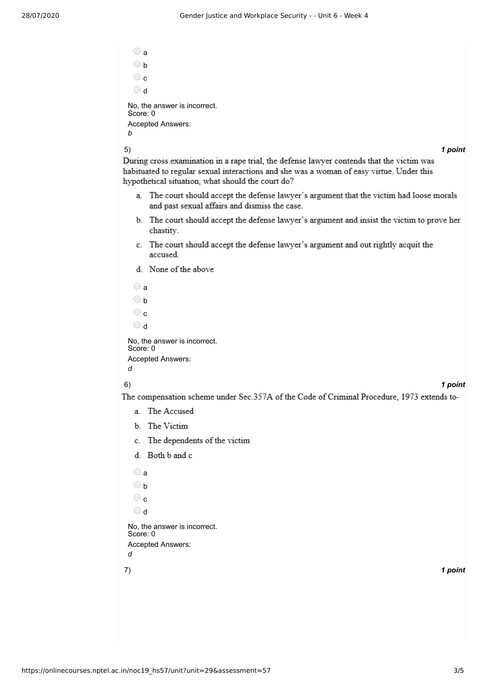$\bigcirc$  a  $\bigcirc$  h  $\circ$ d No, the answer is incorrect. Score: 0 Accepted Answers: *b*

5) *1 point*

During cross examination in a rape trial, the defense lawyer contends that the victim was habituated to regular sexual interactions and she was a woman of easy virtue. Under this hypothetical situation, what should the court do?

- a. The court should accept the defense lawyer's argument that the victim had loose morals and past sexual affairs and dismiss the case.
- b. The court should accept the defense lawyer's argument and insist the victim to prove her chastity.
- c. The court should accept the defense lawyer's argument and out rightly acquit the accused.
- d. None of the above

```
\bigcirc a
  \bigcirc b
  \circ c
  h \bigcircNo, the answer is incorrect.
Score: 0
Accepted Answers:
d
```
## 6) *1 point*

The compensation scheme under Sec.357A of the Code of Criminal Procedure, 1973 extends to-

- a. The Accused
- b. The Victim
- c. The dependents of the victim
- d. Both b and c
- 7) *1 point*  $\bigcirc$  a  $\bigcirc$  b  $\circ$  c  $\bigcirc$  d No, the answer is incorrect. Score: 0 Accepted Answers: *d*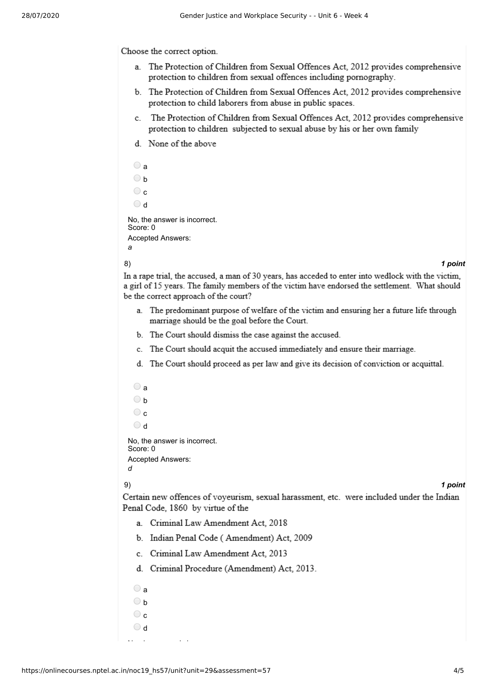Choose the correct option.

- a. The Protection of Children from Sexual Offences Act, 2012 provides comprehensive protection to children from sexual offences including pornography.
- b. The Protection of Children from Sexual Offences Act, 2012 provides comprehensive protection to child laborers from abuse in public spaces.
- c. The Protection of Children from Sexual Offences Act, 2012 provides comprehensive protection to children subjected to sexual abuse by his or her own family
- d. None of the above

```
\bigcirc a
 \bigcirc h
 \circ\bigcirc d
No, the answer is incorrect.
Score: 0
Accepted Answers:
a
```
## 8) *1 point*

In a rape trial, the accused, a man of 30 years, has acceded to enter into wedlock with the victim, a girl of 15 years. The family members of the victim have endorsed the settlement. What should be the correct approach of the court?

- a. The predominant purpose of welfare of the victim and ensuring her a future life through marriage should be the goal before the Court.
- b. The Court should dismiss the case against the accused.
- c. The Court should acquit the accused immediately and ensure their marriage.
- d. The Court should proceed as per law and give its decision of conviction or acquittal.
- 9) *1 point*  $\bigcirc$  a  $\bigcirc$  b  $\circ$  $\bigcirc$  d No, the answer is incorrect. Score: 0 Accepted Answers: *d*
	-

Certain new offences of voyeurism, sexual harassment, etc. were included under the Indian Penal Code, 1860 by virtue of the

- a. Criminal Law Amendment Act, 2018
- b. Indian Penal Code (Amendment) Act, 2009
- c. Criminal Law Amendment Act, 2013
- d. Criminal Procedure (Amendment) Act, 2013.
- $\bigcirc$  a  $\bigcirc$  h  $\bigcirc$  c h O

N h i i